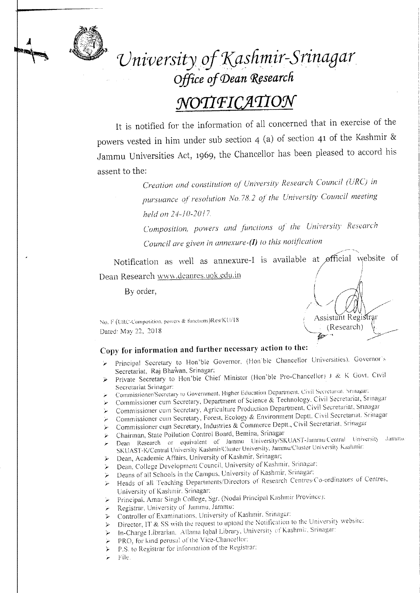

*Vniversity,o!1\,asfimir-Srinagar Office of Dean Research* 

# $NOTIFICATION$

It is notified for the information of all concerned that in exercise of the powers vested in him under sub section 4 (a) of section 41 of the Kashmir & Jammu Universities Act, 1969, the Chancellor has been pleased to accord his assent to the:

> *Creation and constitution of University Research Council (URCj in pursuance ofresolution No.* 78. 2 *of the University Council meeting held on 24-10-2017.*

> *Composition, powers and functions of the University Research Council are given in annexure-(I) to this notification*

> > Assistant Registrar \, ,\_ (Research) {. *»> ~ {t1~" -, .>:* . ./

Notification as well as annexure-I is available at øfficial website of Dean Research wwyv.deanres.uok.edu.in

By order,

No. F (URC-Composition. powers & functions)Res/KU/18 Dated' May 22, 2018

## Copy for information and further necessary action to the:

- Principal Secretary to Hon'ble Governor, (Hon'ble Chancellor Universities). Governor's Secretariat, Raj Bhawan, Srinagar;
- Private Secretary to Hon'ble Chief Minister (Hon'ble Pro-Chancellor) J & K Govt. Civil
- Secretariat Srinagar:<br>Commissioner/Secretary 10 Government, Higher Education Department. Civil Secretarial. Srinagar:
- *»:* Commissioner cum Secretary, Department of Science & Technology, Civil Secretarial, Srinagar
- Commissioner cum Secretary, Agriculture Production Department. Civil Secretariat, Srinagar
- )' Commissioner cum Secretary, Forest, Ecology & Environment Deptt. Civil Secretariat. Srinagar
- Commissioner cum Secretary, Industries & Commerce Deptt., Civil Secretariat, Srinagar
- ,. Chairman, State Pollution Control Board, Semina, Srinagar
- r Dean Research or equivalent or Jammu University/SKUAST-JammlL'Ccntral l.iniversit) .larnnu. SKUAST-K/Central University Kashmir/Cluster University, Jammu/Cluster University Kashmir:
- $\triangleright$  Dean, Academic Affairs, University of Kashmir, Srinagar;
- *<sup>T</sup>*Dean, College Development Council, University of Kashmir, Srinagar:
- .,. Deans of all Schools in the Campus, University of Kashmir, Srinagar:
- *T*Heads of all Teaching Departments/Directors of Research Centres/Co-ordinators of Centres, University or Kashmir, Srinagar:
- *r:* Principal, Arnar Singh College, Sgr. (Nodal Principal Kashmir Province):
- Registrar, University of Jammu, Jammu:
- > Controller of Examinations, University of Kashmir. Srinagar:
- $\triangleright$  Director, IT & SS with the request to upload the Notification to the University website:
- *y* In-Charge Librarian. Allama Iqbal Library, University of Kashmir, Srinagar:
- PRO, for kind perusal of the Vice-Chancellor:
- > P.S. to Registrar for information of the Registrar:
- *T* file.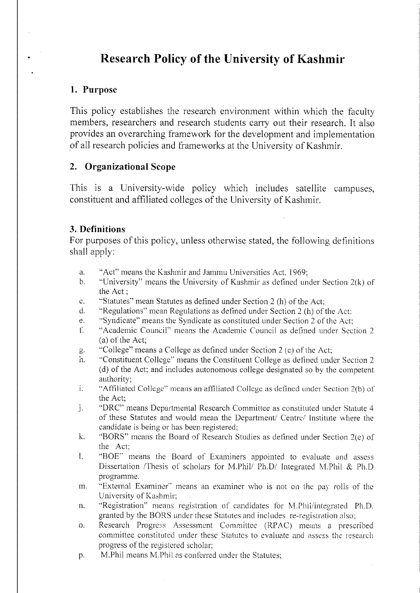## **Research Policy of the University of Kashmir**

### **1. Purpose**

This policy establishes the research environment within which the faculty members, researchers and research students carry out their research. It also provides an overarching framework for the development and implementation of all research policies and frameworks at the University of Kashmir.

### **2. Organizational Scope**

This is a University-wide policy which includes satellite campuses, constituent and affiliated colleges of the University of Kashmir.

### **3. Definitions**

For purposes of this policy, unless otherwise stated, the following definitions shall apply:

- a. "Act" means the Kashmir and Jammu Universities Act, 1969;
- b. "University" means the University of Kashmir as defined under Section 2(k) of the Act;
- c. "Statutes" mean Statutes as defined under Section 2 (h) of the Act;
- d. "Regulations" mean Regulations as defined under Section 2 (h) of the Act:
- e. "Syndicate" means the Syndicate as constituted under Section 2 of the Act;
- f. "Academic Council" means the Academic Council as defined under Section 2 (a) of the Act;
- g. "College" means a College as defined under Section 2 (c) of the Act;
- h. "Constituent College" means the Constituent College as defined under Section 2 (d) of the Act; and includes autonomous college designated so by the competent authority;
- I. "Affiliated College" means an affiliated College as defined under Section *2(b)* of the Act;
- J. "DRC" means Departmental Research Committee as constituted under Statute 4 of these Statutes and would mean the Department/ Centre/ Institute where the candidate is being or has been registered;
- k. "BORS" means the Board of Research Studies as defined under Section 2(e) of the Act;
- 1. "BOE" means the Board of Examiners appointed to evaluate and assess Dissertation /Thesis of scholars for M.Phil/ Ph.D/ Integrated M.Phil & Ph.D programme.
- m. "External Examiner" means an examiner who is not on the pay rolls of the University of Kashmir;
- n. "Registration" means registration of candidates for M.Phil/integrated Ph.D. granted by the BORS under these Statutes and includes re-registration also;
- o. Research Progress Assessment Committee (RPAC) means a prescribed committee constituted under these Statutes to evaluate and assess the research progress of the registered scholar;
- p. M.Phil means M.Phil as conferred under the Statutes;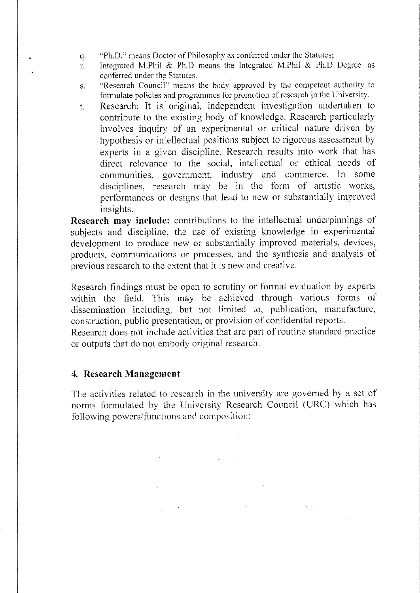- q. "Ph.D." means Doctor of Philosophy as conferred under the Statutes;
- r. Integrated M.Phii & Ph.D means the Integrated M.Phil & Ph.D Degree as conferred under the Statutes.
- s. "Research Council" means the body approved by the competent authority to formulate policies and programmes for promotion of research in the University.
- t. Research: It is original, independent investigation undertaken to contribute to the existing body of knowledge. Research particularly involves inquiry of an experimental or critical nature driven by hypothesis or intellectual positions subject to rigorous assessment by experts in a given discipline. Research results into work that has direct relevance to the social, intellectual or ethical needs of commumties, government, industry and commerce. In some disciplines, research may be in the form of artistic works, performances or designs that lead to new or substantially improved insights.

**Research may include:** contributions to the intellectual underpinnings of subjects and discipline, the use of existing knowledge in experimental development to produce new or substantially improved materials, devices, products, communications or processes, and the synthesis and analysis of previous research to the extent that it is new and creative.

Research findings must be open to scrutiny or formal evaluation by experts within the field. This may be achieved through various forms of dissemination including, but not limited to, publication, manufacture, construction, public presentation, or provision of confidential reports.

Research does not include activities that are part of routine standard practice or outputs that do not embody original research.

### **4. Research Management**

The activities related to research in the university are governed by a set of norms formulated by the University Research Council (URC) which has following powers/functions and composition: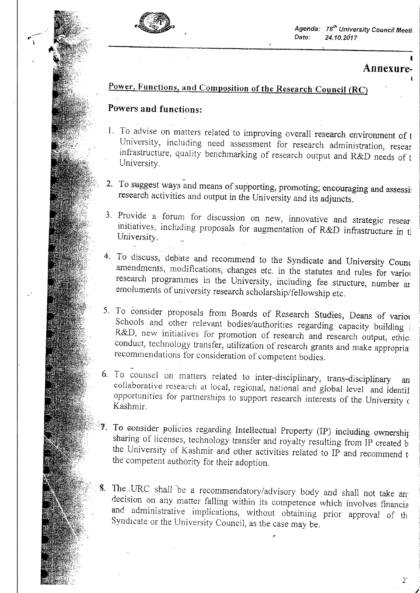

 $\blacktriangleright$ 

*Agenda: re" University Council Meeti. Date: 24.10.2617* 

## $\ddot{\bullet}$ **Annexure-**

2~

## Power, Functions, and Composition of the Research Council (RC)

## Powers and functions:

- I. To advise on matters related to improving overall research environment of <sup>t</sup> University, including need assessment for research administration, resear infrastructure, quality benchmarking of research output and R&D needs of t University.
- 2. To suggest ways and means of supporting, promoting; encouraging and assessign research activities and output in the University and its adjuncts.
- 3. Provide a forum for discussion on new, innovative and strategic resear. initiatives, including proposals for augmentation of R&D infrastructure in t University.
- 4. To discuss, debate and recommend to the Syndicate and University Counc amendments, modifications, changes etc. in the statutes and rules for various research programmes in the University, including fee structure, number ar *emoluments* of university research scholarship/fellowship etc.
- 5. To consider proposals from Boards of Research Studies, Deans of variot Schools and other relevant bodies/authorities regarding capacity building i R&D, new initiatives for promotion of research and research output, ethic, conduct, technology transfer, utilization of research grants and make appropria recommendations for consideration of competent bodies.
- . 6. To counsel on matters related to inter-disciplinary, trans-disciplinary an collaborative research at local, regional, national and *global* level and identif opportunities for partnerships to support research interests of the University <sup>c</sup> Kashmir.
- To consider policies regarding Intellectual Property (IP) including ownership sharing of licenses, technology transfer and royalty resulting from IP created b the University of Kashmir and other activities related to IP and recommend t, the competent authority for their adoption.
- The.,URC shall be a recommendatory/advisory body and shall not take an: decision on any matter falling within its competence which involves financia and administrative implications, without obtaining prior approval of th Syndicate or the University Council, as the case may be.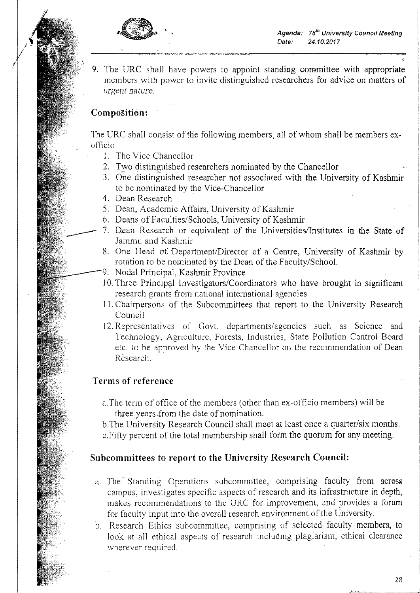*Agenda: re" University Council Meeting Date: 24.10.2017* 



9. The URC shall have powers to appoint standing committee with appropriate members with power to invite distinguished researchers for advice on matters of *urgent nature.* 

### **Composition:**

 $/$  -*I /* 

> The URC shall consist of the following members, all of whom shall be members exofficio

- 1. The Vice Chancellor
- 2. Two distinguished researchers nominated by the Chancellor
- 3. One distinguished researcher not associated with the University of Kashmir to be nominated by the Vice-Chancellor
- 4. Dean Research
- 5. Dean, Academic Affairs, University of Kashmir
- 6. Deans of Faculties/Schools, University of Kashmir
- 7. Dean Research or equivalent of the Universities/Institutes in the State of Jammu and Kashmir
- 8. One Head of Department/Director of a Centre, University of Kashmir by rotation to be nominated by the Dean of the Faculty/School.
- 9. Nodal Principal, Kashmir Province
- 10. Three Principal Investigators/Coordinators who have brought in significant research grants from national international agencies
- 11. Chairpersons of the Subcommittees that report to the University Research Council
- 12. Representatives of Govt. departments/agencies such as Science and Technology, Agriculture, Forests, Industries, State Pollution Control Board etc. to be approved by the Vice Chancellor on the recommendation of Dean Research.

### **Terms of reference**

a.The term of office of the members (other than ex-officio members) will be three years .from the date of nomination.

b.The University Research Council shall meet at least once a quarter/six months.

c.Fifty percent of the total membership shall form the quorum for any meeting.

### **Subcommittees to report to the University Research Council:**

- a. The Standing Operations subcommittee, comprising faculty from across campus, investigates specific aspects of research and its infrastructure in depth, makes recommendations to the URC for improvement, and provides a forum for faculty input into the overall research environment of the University.
- b. Research Ethics subcommittee, comprising of selected faculty members, to look at all ethical aspects of research including plagiarism, ethical clearance wherever required.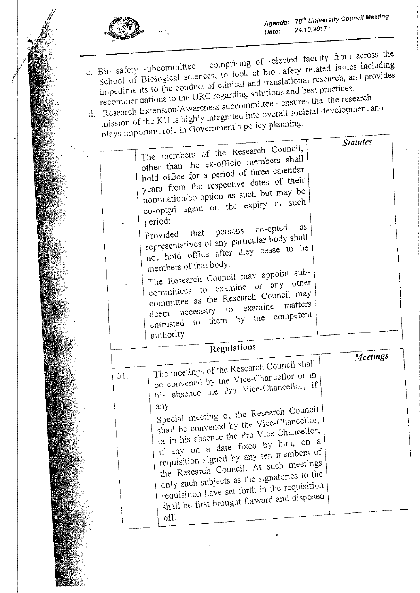

- c. Bio safety subcommittee -- comprising of selected faculty from across the School of Biological sciences, to look at bio safety related issues including impediments to the conduct of clinical and translational research,  $S_{10}$  safety supponed sciences, to look at bio safety related issues including School of  $\text{Div}_\Theta$  research, and  $\text{tr}_\Theta$  research, and  $\text{tr}_\Theta$ recommendations to the URC regarding solutions and best practices. d. Research Extension/Awareness subcommittee - ensures that the research
- mission of the KU is highly integrated into overall societal development and plays important role in Government's policy planning.

| other than the ex-officio members shall<br>hold office for a period of three calendar<br>years from the respective dates of their<br>nomination/co-option as such but may be<br>co-opted again on the expiry of such<br>period;<br>as<br>co-opted<br>Provided that persons<br>representatives of any particular body shall<br>not hold office after they cease to be<br>members of that body.<br>The Research Council may appoint sub-<br>committees to examine or any other<br>committee as the Research Council may<br>deem necessary to examine<br>entrusted to them by the competent<br>authority. |                                      |                             |
|--------------------------------------------------------------------------------------------------------------------------------------------------------------------------------------------------------------------------------------------------------------------------------------------------------------------------------------------------------------------------------------------------------------------------------------------------------------------------------------------------------------------------------------------------------------------------------------------------------|--------------------------------------|-----------------------------|
| Regulations                                                                                                                                                                                                                                                                                                                                                                                                                                                                                                                                                                                            |                                      |                             |
| The meetings of the Research Council shall<br>be convened by the Vice-Chancellor or in<br>his absence the Pro Vice-Chancellor, if<br>any.<br>Special meeting of the Research Council<br>shall be convened by the Vice-Chancellor,<br>or in his absence the Pro Vice-Chancellor,<br>if any on a date fixed by him, on a<br>requisition signed by any ten members of<br>the Research Council. At such meetings<br>only such subjects as the signatories to the<br>requisition have set forth in the requisition<br>shall be first brought forward and disposed<br>$\partial f$ .                         |                                      |                             |
|                                                                                                                                                                                                                                                                                                                                                                                                                                                                                                                                                                                                        | The members of the Research Council, | <b>Statutes</b><br>Meetings |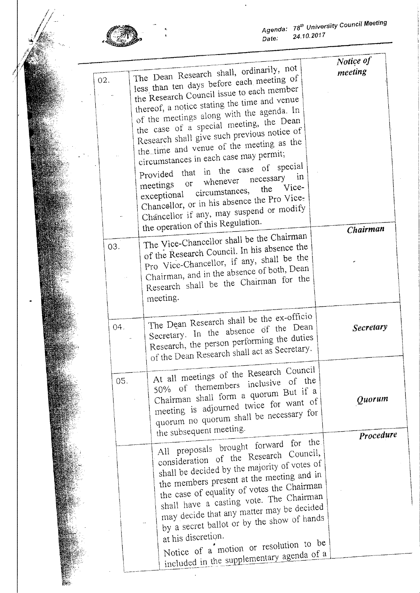

木<br>村

*Agenda: re" UniversIty council Meeting Date: 24.10.2017* 

| 02. | The Dean Research shall, ordinarily, not<br>less than ten days before each meeting of<br>the Research Council issue to each member<br>thereof, a notice stating the time and venue<br>of the meetings along with the agenda. In<br>the case of a special meeting, the Dean<br>Research shall give such previous notice of<br>the time and venue of the meeting as the<br>circumstances in each case may permit;<br>Provided that in the case of special<br>necessary in<br>meetings or whenever<br>exceptional circumstances, the Vice-<br>Chancellor, or in his absence the Pro Vice-<br>Chancellor if any, may suspend or modify | Notice of<br>meeting |
|-----|------------------------------------------------------------------------------------------------------------------------------------------------------------------------------------------------------------------------------------------------------------------------------------------------------------------------------------------------------------------------------------------------------------------------------------------------------------------------------------------------------------------------------------------------------------------------------------------------------------------------------------|----------------------|
| 03. | the operation of this Regulation.<br>The Vice-Chancellor shall be the Chairman<br>of the Research Council. In his absence the<br>Pro Vice-Chancellor, if any, shall be the<br>Chairman, and in the absence of both, Dean<br>Research shall be the Chairman for the<br>meeting.                                                                                                                                                                                                                                                                                                                                                     | Chairman             |
| 04. | The Dean Research shall be the ex-officio<br>Secretary. In the absence of the Dean<br>Research, the person performing the duties<br>of the Dean Research shall act as Secretary.                                                                                                                                                                                                                                                                                                                                                                                                                                                   | Secretary            |
| 05. | At all meetings of the Research Council<br>50% of themembers inclusive of the<br>Chairman shall form a quorum But if a<br>meeting is adjourned twice for want of<br>quorum no quorum shall be necessary for<br>the subsequent meeting.                                                                                                                                                                                                                                                                                                                                                                                             | Quorum<br>Procedure  |
|     | All proposals brought forward for the<br>consideration of the Research Council,<br>shall be decided by the majority of votes of<br>the members present at the meeting and in<br>the case of equality of votes the Chairman<br>shall have a casting vote. The Chairman<br>may decide that any matter may be decided<br>by a secret ballot or by the show of hands<br>at his discretion.<br>Notice of a motion or resolution to be<br>included in the supplementary agenda of a                                                                                                                                                      |                      |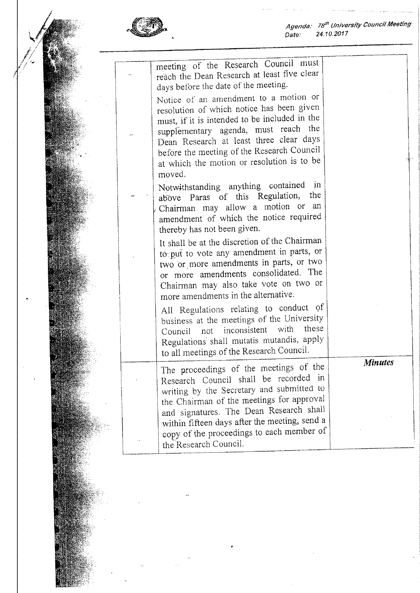

*Agenda: rs" University Couneil Meeting Date: 24.10.2017* 

|  | meeting of the Research Council must<br>reach the Dean Research at least five clear<br>days before the date of the meeting.                                                                                                                                                                                                                 |                |
|--|---------------------------------------------------------------------------------------------------------------------------------------------------------------------------------------------------------------------------------------------------------------------------------------------------------------------------------------------|----------------|
|  | Notice of an amendment to a motion or<br>resolution of which notice has been given<br>must, if it is intended to be included in the<br>supplementary agenda, must reach the<br>Dean Research at least three clear days<br>before the meeting of the Research Council<br>at which the motion or resolution is to be<br>moved.                |                |
|  | Notwithstanding anything contained<br>$\mathbf{m}$<br>the<br>above Paras of this Regulation,<br>Chairman may allow a motion or an<br>amendment of which the notice required<br>thereby has not been given.                                                                                                                                  |                |
|  | It shall be at the discretion of the Chairman<br>tó put to vote any amendment in parts, or<br>two or more amendments in parts, or two<br>or more amendments consolidated. The<br>Chairman may also take vote on two or<br>more amendments in the alternative.                                                                               |                |
|  | All Regulations relating to conduct of<br>business at the meetings of the University<br>these<br>with<br>not inconsistent<br>Council<br>Regulations shall mutatis mutandis, apply<br>to all meetings of the Research Council.                                                                                                               |                |
|  | The proceedings of the meetings of the<br>Research Council shall be recorded in<br>writing by the Secretary and submitted to<br>the Chairman of the meetings for approval<br>and signatures. The Dean Research shall<br>within fifteen days after the meeting, send a<br>copy of the proceedings to each member of<br>the Research Council. | <b>Minutes</b> |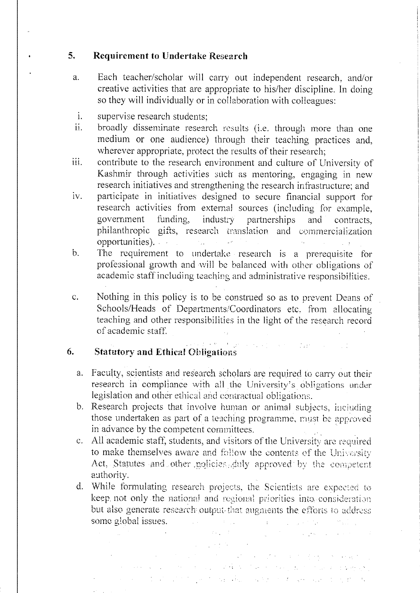## 5. Requirement to Undertake Research

- a. Each teacher/scholar will carry out independent research, and/or creative activities that are appropriate to his/her discipline. In doing so they will individually or in collaboration with colleagues:
- 1. supervise research students;
- ii. broadly disseminate research results (i.e. through more than one medium or one audience) through their teaching practices and, wherever appropriate, protect the results of their research;
- iii. contribute to the research environment and culture of University of Kashmir through activities such as mentoring, engaging in new research initiatives and strengthening the research infrastructure; and
- iv. participate in initiatives designed to secure financial support for research activities from external sources (including for example, government funding, industry partnerships and contracts, philanthropic gifts, research translation and commercialization opportunities).  $\mathcal{O}(\mathcal{A})$  , and  $\mathcal{O}(\mathcal{A})$  , and  $\mathcal{A}$ **Contract Contract**
- b. The requirement to undertake research is a prerequisite for professional growth and will be balanced with other obligations of academic staff including teaching and administrative responsibilities.
- c. Nothing in this policy is to be construed so as to prevent Deans of Schools/Heads of Departments/Coordinators etc. from allocating teaching and other responsibilities in the light of the research record of academic staff.

para praia de la

# 6. Statutory and Ethical Obligations

- a. Faculty, scientists and research scholars are required to carry out their research in compliance with all the University's obligations under legislation and other ethical and contractual obligations.
- b. Research projects that involve human or animal subjects, inciuding those undertaken as part of a teaching programme, must be approved in advance by the competent committees.
- c. All academic staff, students, and visitors of the University are required to make themselves aware and follow the contents of the University Act, Statutes and other policies, duly approved by the competent authority.
- d. While formulating research projects, the Scientists are expected to keep not only the national and regional priorities into consideration but also generate research output that augments the efforts to address some global issues.

an di sebagai kecamatan di kecamatan Selaman.<br>Kecamatan Selaman di kecamatan Selaman Selaman Selaman Selaman Selaman Selaman Selaman Selaman Selaman Selama

المعلوم المستوى المستوى المستوى المستوى المستوى المستوى المستوى المستوى المستوى المستوى المستوى المستوى المستوى and the contract of the following the contract of the state of the state of the problem of the state of the state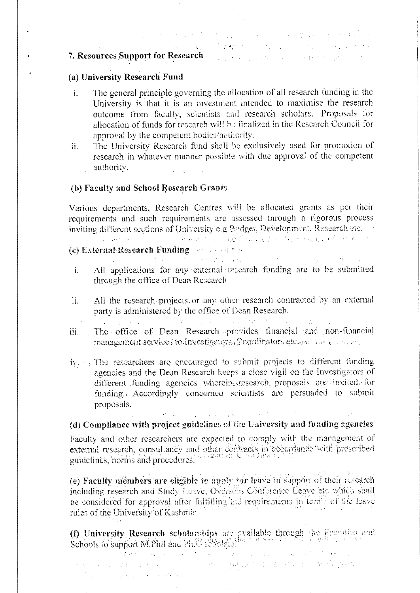# 7. Resources Support for Research and the contract of the state of the contract of the contract of the contract of the contract of the contract of the contract of the contract of the contract of the contract of the contrac

### (a) University Research Fund

 $\bullet$ 

The general principle governing the allocation of all research funding in the i. University is that it is an investment intended to maximise the research outcome from faculty, scientists and research scholars. Proposals for allocation of funds for research will be finalized in the Research Council for approval by the competent bodies/authority.

the control of the control of the control of the control of the control of .<br>The contract of the construction of the contract of the contract of the construction of the contract of the co

The University Research fund shall be exclusively used for promotion of  $\ddot{\rm n}$ . research in whatever manner possible with due approval of the competent authority.  $\label{eq:1} \Delta_{\rm{max}} = \frac{1}{2} \left( \frac{1}{2} \left( \frac{1}{2} \right) \left( \frac{1}{2} \right) \right) \left( \frac{1}{2} \right) \left( \frac{1}{2} \right)$  $\mathcal{L}_{\text{max}}$ 

### (b) Faculty and School Research Grants

Various departments, Research Centres will be allocated grants as per their requirements and such requirements are assessed through a rigorous process inviting different sections of University e.g. Predget, Development, Research etc. and the constant of the first of community of the second financial of the mother is a first of

# (c) External Research Funding. The complete

 $\frac{\omega}{\omega}$  , the contribution of  $\frac{\omega}{\omega}$  , the contribution of  $\frac{\omega}{\omega}$  , the contribution of  $\frac{\omega}{\omega}$ 

- All applications for any external recearch funding are to be submitted  $\mathbf{i}$ . through the office of Dean Research.
- All the research projects or any other research contracted by an external ii. party is administered by the office of Dean Research.

- The office of Dean Research provides financial and non-financial  $iii.$ management services to Investigators, Coordinators etc. or allegators and the con-
- iy. By The researchers are encouraged to submit projects to different funding agencies and the Dean Research keeps a close vigil on the Investigators of different funding agencies wherein sesearch proposals are invited for funding. Accordingly concerned scientists are persuaded to submit proposals.

## , the constraint of the state of  $\mathcal{E}$  , and the constraint of the state of  $\mathcal{E}$ (d) Compliance with project guidelines of the University and funding agencies

Faculty and other researchers are expected to comply with the management of external research, consultancy and other contracts in accordance with prescribed<br>guidelines, norms and procedures.

(e) Faculty members are eligible to apply for leave in support of their research including research and Study Loave, Overseas Conference Leave etc which shall be considered for approval after fulfilling the requirements in terms of the leave rules of the University of Kashmir

(f) University Research scholarships are svailable through the Facurties and Schools to support M.Phil and Ph.C. (Scholarships)

a sa shekara ta 1980 na kata ta 1980 na wakati wakati wa Tanzania. Makao wa kutoka mwaka wa 1980 wakati wa kuto in Scheller Lander in Die Karl in die Große der William Barbarier ist, der er der aufgründe gegenüber war The company of the company of the company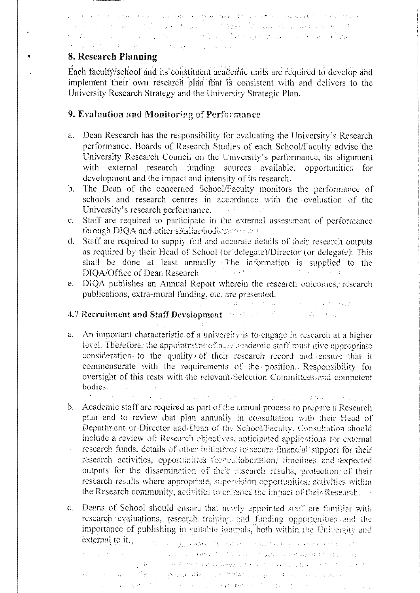## 2010年12月20日,1月20日,1月20日,1月20日,1月20日,1月20日,1月20日,1月20日,1月20日,1月20日,1月20日,1月20日,1月20日,1月20日。 าและ หรือทางเล่นผลงาน เขาเข้าไป และกู้ไข้ เขนะเป็น และให้รัฐเสริม ในระเลิศตาลัน แต่ละต่อ จ.พ. พ. ป. 35 ปี และ<br>ป. เดือนไป อ. และ เป็น เด่น เด่น เด่น และไม่ และไป ไปรูป เ**นื้อประเล**ิศเล่นสามสำคัญ คือได้ Mario เดือนละแบบ หลั the community of the state of the state

### 8. Research Planning

Each faculty/school and its constituent academic units are required to develop and implement their own research plan that is consistent with and delivers to the University Research Strategy and the University Strategic Plan.

### 9. Evaluation and Monitoring of Performance

- Dean Research has the responsibility for evaluating the University's Research  $a<sub>1</sub>$ performance. Boards of Research Studies of each School/Faculty advise the University Research Council on the University's performance, its alignment with external research funding sources available, opportunities for development and the impact and intensity of its research.
- The Dean of the concerned School/Faculty monitors the performance of  $\mathbf{b}$ . schools and research centres in accordance with the evaluation of the University's research performance.  $\Delta \sim 10^{-10}$
- Staff are required to participate in the external assessment of performance  $C_{\star}$ through DIQA and other similar bodies and all
- $d_{-}$ Staff are required to supply full and accurate details of their research outputs as required by their Head of School (or delegate)/Director (or delegate). This shall be done at least annually. The information is supplied to the DIQA/Office of Dean Research and the contract of the contract of the contract of the contract of the contract of the contract of the contract of the contract of the contract of the contract of the contract of the contract
- DIQA publishes an Annual Report wherein the research outcomes, research e. publications, extra-mural funding, etc. are presented.

# 4.7 Recruitment and Staff Development and solution of the state of the state

- a. An important characteristic of a university is to engage in research at a higher level. Therefore, the appointment of a ware ademic staff must give appropriate consideration to the quality of their research record and ensure that it commensurate with the requirements of the position. Responsibility for oversight of this rests with the relevant Selection Committees and competent bodies.
	- and the computer of a string energy of a substantial conditions of the substantial

the second contract of the second state of the second

- b. Academic staff are required as part of the annual process to prepare a Research plan and to review that plan annually in consultation with their Head of Department or Director and Dean of the School/Faculty. Consultation should include a review of: Research objectives, anticipated applications for external research funds, details of other initiatives to secure financial support for their research activities, opportunities four solidboration, timelines and expected outputs for the dissemination of their research results, protection of their research results where appropriate, supervision opportunities, activities within the Research community, activities to enfinnee the impact of their Research.
- $\mathbf{C}$ . Deans of School should ensure that newly appointed staff are familiar with research evaluations, research training and funding opportunities and the importance of publishing in suitable loctrials, both within the University and external to it. The company of the control of the company of the company of the company of the company of the company of the company of the company of the company of the company of the company of the company of the company ana ny taona 2008–2014. Ilay kaominina dia kaominina mpikambana amin'ny fivondronan-kaominin'i Paris ารณ์ ที่เจ้า<br>เหมาะ จากเกิด เก่า เก่า ได้มาการ การที่เป็นทรงการ 4 41 ผสมพันธ์ พร้อม พร้อมกับ เก่า จะมีของ พร้อมกับการ การ กา<br>เหมาะ การ การ จากเก่า ได้มาการ การที่เพราะห์ ผมกับ เป็นทำเป็นห์ผมกับ และที่ระการ ทำเจาะที่กระการ
	- 1999年, 1999年, 1999年, 1999年, 1999年, 1999年, 1999年, 1999年, 1999年, 1999年, 1999年, 1999年, 1999年, 1999年, 19